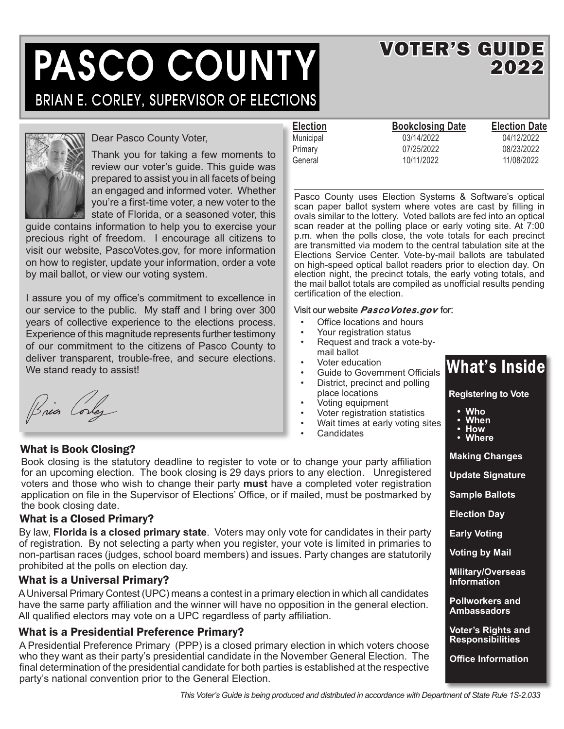# PASCO COUNTY BRIAN E. CORLEY, SUPERVISOR OF ELECTIONS

### VOTER'S GUIDE 2022



#### Dear Pasco County Voter,

Thank you for taking a few moments to review our voter's guide. This guide was prepared to assist you in all facets of being an engaged and informed voter. Whether you're a first-time voter, a new voter to the state of Florida, or a seasoned voter, this

guide contains information to help you to exercise your precious right of freedom. I encourage all citizens to visit our website, PascoVotes.gov, for more information on how to register, update your information, order a vote by mail ballot, or view our voting system.

I assure you of my office's commitment to excellence in our service to the public. My staff and I bring over 300 years of collective experience to the elections process. Experience of this magnitude represents further testimony of our commitment to the citizens of Pasco County to deliver transparent, trouble-free, and secure elections. We stand ready to assist!

Bria Corlez

#### What is Book Closing?

Book closing is the statutory deadline to register to vote or to change your party affiliation for an upcoming election. The book closing is 29 days priors to any election. Unregistered voters and those who wish to change their party **must** have a completed voter registration application on file in the Supervisor of Elections' Office, or if mailed, must be postmarked by the book closing date.

#### What is a Closed Primary?

By law, **Florida is a closed primary state**. Voters may only vote for candidates in their party of registration. By not selecting a party when you register, your vote is limited in primaries to non-partisan races (judges, school board members) and issues. Party changes are statutorily prohibited at the polls on election day.

#### What is a Universal Primary?

A Universal Primary Contest (UPC) means a contest in a primary election in which all candidates have the same party affiliation and the winner will have no opposition in the general election. All qualified electors may vote on a UPC regardless of party affiliation.

#### What is a Presidential Preference Primary?

A Presidential Preference Primary (PPP) is a closed primary election in which voters choose who they want as their party's presidential candidate in the November General Election. The final determination of the presidential candidate for both parties is established at the respective party's national convention prior to the General Election.

| <b>Election</b> | <b>Bookclosing Date</b> | <b>Election Date</b> |
|-----------------|-------------------------|----------------------|
| Municipal       | 03/14/2022              | 04/12/2022           |
| Primary         | 07/25/2022              | 08/23/2022           |
| General         | 10/11/2022              | 11/08/2022           |

Pasco County uses Election Systems & Software's optical scan paper ballot system where votes are cast by filling in ovals similar to the lottery. Voted ballots are fed into an optical scan reader at the polling place or early voting site. At 7:00 p.m. when the polls close, the vote totals for each precinct are transmitted via modem to the central tabulation site at the Elections Service Center. Vote-by-mail ballots are tabulated on high-speed optical ballot readers prior to election day. On election night, the precinct totals, the early voting totals, and the mail ballot totals are compiled as unofficial results pending certification of the election.

#### Visit our website *PascoVotes.gov* for:

- Office locations and hours
- Your registration status
- Request and track a vote-bymail ballot
- Voter education
- Guide to Government Officials District, precinct and polling
- place locations
- Voting equipment
- Voter registration statistics
- Wait times at early voting sites
- **Candidates**

## What's Inside

#### **Registering to Vote**

- **Who**
- **When**
- **How • Where**

**Making Changes**

**Update Signature**

**Sample Ballots**

**Election Day**

**Early Voting**

**Voting by Mail**

**Military/Overseas Information**

**Pollworkers and Ambassadors**

**Voter's Rights and Responsibilities**

**Office Information**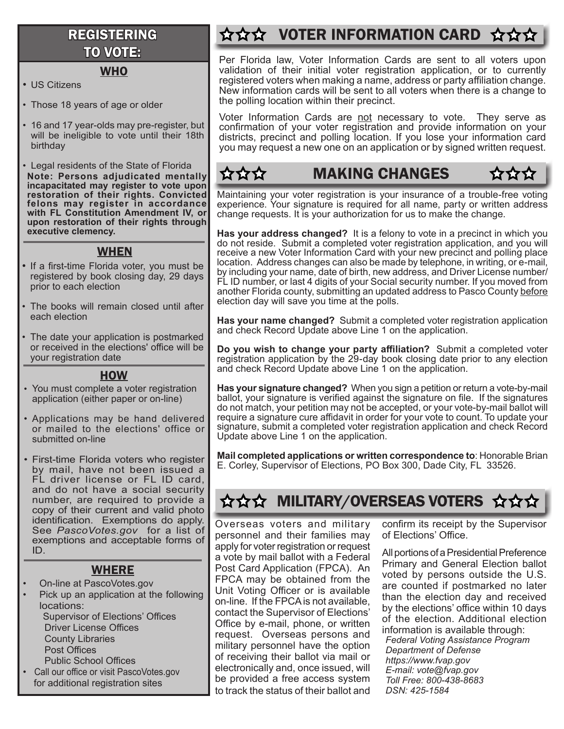### REGISTERING TO VOTE:

#### **WHO**

- US Citizens
- Those 18 years of age or older
- 16 and 17 year-olds may pre-register, but will be ineligible to vote until their 18th birthday

• Legal residents of the State of Florida **Note: Persons adjudicated mentally incapacitated may register to vote upon restoration of their rights. Convicted felons may register in accordance with FL Constitution Amendment IV, or upon restoration of their rights through executive clemency.** 

#### WHEN

- If a first-time Florida voter, you must be registered by book closing day, 29 days prior to each election
- The books will remain closed until after each election
- The date your application is postmarked or received in the elections' office will be your registration date

#### **HOW**

- You must complete a voter registration application (either paper or on-line)
- Applications may be hand delivered or mailed to the elections' office or submitted on-line
- First-time Florida voters who register by mail, have not been issued a FL driver license or FL ID card, and do not have a social security number, are required to provide a copy of their current and valid photo identification. Exemptions do apply. See *PascoVotes.gov* for a list of exemptions and acceptable forms of ID.

#### WHERE

- On-line at PascoVotes.gov
- Pick up an application at the following locations: Supervisor of Elections' Offices Driver License Offices County Libraries Post Offices Public School Offices
- Call our office or visit PascoVotes.gov for additional registration sites

### **☆☆☆ VOTER INFORMATION CARD ☆☆**

Per Florida law, Voter Information Cards are sent to all voters upon validation of their initial voter registration application, or to currently registered voters when making a name, address or party affiliation change. New information cards will be sent to all voters when there is a change to the polling location within their precinct.

Voter Information Cards are not necessary to vote. They serve as confirmation of your voter registration and provide information on your districts, precinct and polling location. If you lose your information card you may request a new one on an application or by signed written request.

#### MAKING CHANGES $\alpha\alpha\alpha$

Maintaining your voter registration is your insurance of a trouble-free voting experience. Your signature is required for all name, party or written address change requests. It is your authorization for us to make the change.

**Has your address changed?** It is a felony to vote in a precinct in which you do not reside. Submit a completed voter registration application, and you will receive a new Voter Information Card with your new precinct and polling place location. Address changes can also be made by telephone, in writing, or e-mail, by including your name, date of birth, new address, and Driver License number/ FL ID number, or last 4 digits of your Social security number. If you moved from another Florida county, submitting an updated address to Pasco County before election day will save you time at the polls.

**Has your name changed?** Submit a completed voter registration application and check Record Update above Line 1 on the application.

**Do you wish to change your party affiliation?** Submit a completed voter registration application by the 29-day book closing date prior to any election and check Record Update above Line 1 on the application.

**Has your signature changed?** When you sign a petition or return a vote-by-mail ballot, your signature is verified against the signature on file. If the signatures do not match, your petition may not be accepted, or your vote-by-mail ballot will require a signature cure affidavit in order for your vote to count. To update your signature, submit a completed voter registration application and check Record Update above Line 1 on the application.

**Mail completed applications or written correspondence to**: Honorable Brian E. Corley, Supervisor of Elections, PO Box 300, Dade City, FL 33526.

### **☆☆☆ MILITARY/OVERSEAS VOTERS ☆☆☆**

Overseas voters and military personnel and their families may apply for voter registration or request a vote by mail ballot with a Federal Post Card Application (FPCA). An FPCA may be obtained from the Unit Voting Officer or is available on-line. If the FPCA is not available, contact the Supervisor of Elections' Office by e-mail, phone, or written request. Overseas persons and military personnel have the option of receiving their ballot via mail or electronically and, once issued, will be provided a free access system to track the status of their ballot and

confirm its receipt by the Supervisor of Elections' Office.

*Federal Voting Assistance Program* All portions of a Presidential Preference Primary and General Election ballot voted by persons outside the U.S. are counted if postmarked no later than the election day and received by the elections' office within 10 days of the election. Additional election information is available through:

*Department of Defense https://www.fvap.gov E-mail: vote@fvap.gov Toll Free: 800-438-8683 DSN: 425-1584*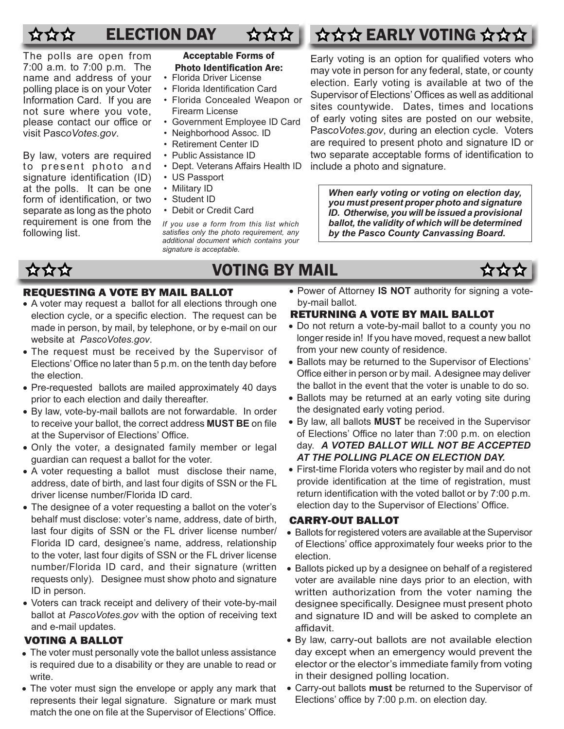## $\mathbf{\hat{x}}\mathbf{\hat{x}}\mathbf{\hat{x}}$

The polls are open from 7:00 a.m. to 7:00 p.m. The name and address of your polling place is on your Voter Information Card. If you are not sure where you vote, please contact our office or visit Pasc*oVotes.gov*.

By law, voters are required to present photo and signature identification (ID) at the polls. It can be one form of identification, or two separate as long as the photo requirement is one from the following list.

 $\bigotimes_{i=1}^{n} \bigotimes_{i=1}^{n} \bigotimes_{i=1}^{n}$ 

#### Acceptable Forms of Photo Identification Are:

- Florida Driver License
- Florida Identification Card
- Florida Concealed Weapon or Firearm License
- Government Employee ID Card
- Neighborhood Assoc. ID
- Retirement Center ID
- Public Assistance ID
- Dept. Veterans Affairs Health ID

#### • US Passport

- Military ID • Student ID
- Debit or Credit Card

*If you use a form from this list which satisfies only the photo requirement, any additional document which contains your signature is acceptable.*

### VOTING BY MAIL

#### REQUESTING A VOTE BY MAIL BALLOT

- A voter may request a ballot for all elections through one election cycle, or a specific election. The request can be made in person, by mail, by telephone, or by e-mail on our website at *PascoVotes.gov*.
- The request must be received by the Supervisor of Elections' Office no later than 5 p.m. on the tenth day before the election.
- Pre-requested ballots are mailed approximately 40 days prior to each election and daily thereafter.
- By law, vote-by-mail ballots are not forwardable. In order to receive your ballot, the correct address **MUST BE** on file at the Supervisor of Elections' Office.
- Only the voter, a designated family member or legal guardian can request a ballot for the voter.
- A voter requesting a ballot must disclose their name, address, date of birth, and last four digits of SSN or the FL driver license number/Florida ID card.
- The designee of a voter requesting a ballot on the voter's behalf must disclose: voter's name, address, date of birth, last four digits of SSN or the FL driver license number/ Florida ID card, designee's name, address, relationship to the voter, last four digits of SSN or the FL driver license number/Florida ID card, and their signature (written requests only). Designee must show photo and signature ID in person.
- Voters can track receipt and delivery of their vote-by-mail ballot at *PascoVotes.gov* with the option of receiving text and e-mail updates.

#### VOTING A BALLOT

- The voter must personally vote the ballot unless assistance is required due to a disability or they are unable to read or write.
- The voter must sign the envelope or apply any mark that represents their legal signature. Signature or mark must match the one on file at the Supervisor of Elections' Office.

• Power of Attorney **IS NOT** authority for signing a voteby-mail ballot.

#### RETURNING A VOTE BY MAIL BALLOT

- Do not return a vote-by-mail ballot to a county you no longer reside in! If you have moved, request a new ballot from your new county of residence.
- Ballots may be returned to the Supervisor of Elections' Office either in person or by mail. A designee may deliver the ballot in the event that the voter is unable to do so.
- Ballots may be returned at an early voting site during the designated early voting period.
- By law, all ballots **MUST** be received in the Supervisor of Elections' Office no later than 7:00 p.m. on election day. *A VOTED BALLOT WILL NOT BE ACCEPTED AT THE POLLING PLACE ON ELECTION DAY.*
- First-time Florida voters who register by mail and do not provide identification at the time of registration, must return identification with the voted ballot or by 7:00 p.m. election day to the Supervisor of Elections' Office.

#### CARRY-OUT BALLOT

- Ballots for registered voters are available at the Supervisor of Elections' office approximately four weeks prior to the election.
- Ballots picked up by a designee on behalf of a registered voter are available nine days prior to an election, with written authorization from the voter naming the designee specifically. Designee must present photo and signature ID and will be asked to complete an affidavit.
- By law, carry-out ballots are not available election day except when an emergency would prevent the elector or the elector's immediate family from voting in their designed polling location.
- Carry-out ballots **must** be returned to the Supervisor of Elections' office by 7:00 p.m. on election day.

### ELECTION DAY  $\alpha \land \alpha \land \alpha$  EARLY VOTING  $\land \land$

Early voting is an option for qualified voters who may vote in person for any federal, state, or county election. Early voting is available at two of the Supervisor of Elections' Offices as well as additional sites countywide. Dates, times and locations of early voting sites are posted on our website, Pasc*oVotes.gov*, during an election cycle. Voters are required to present photo and signature ID or two separate acceptable forms of identification to include a photo and signature.

*When early voting or voting on election day, you must present proper photo and signature ID. Otherwise, you will be issued a provisional ballot, the validity of which will be determined by the Pasco County Canvassing Board.*